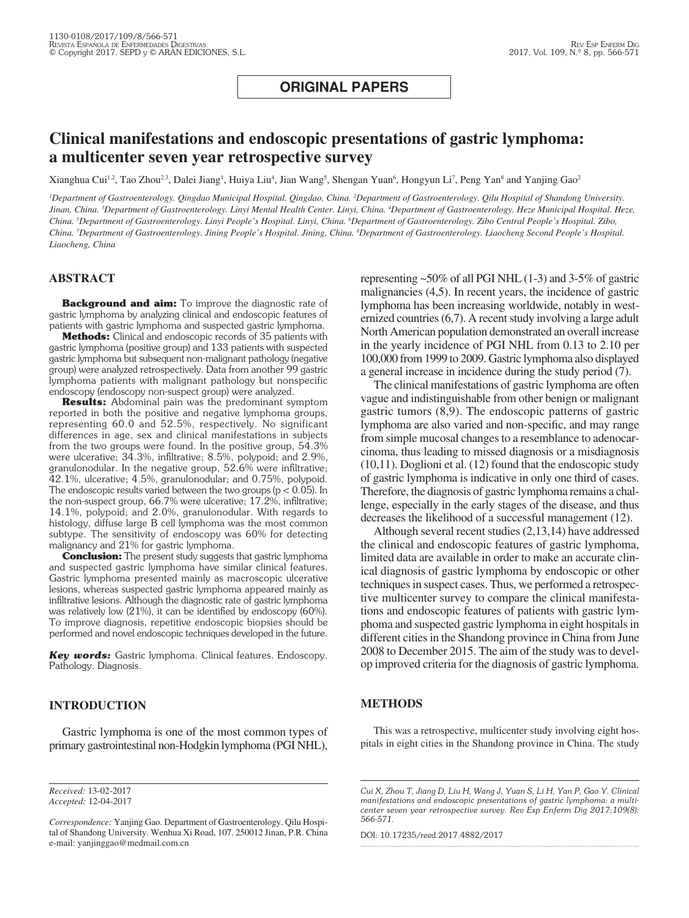## **ORIGINAL PAPERS**

# **Clinical manifestations and endoscopic presentations of gastric lymphoma: a multicenter seven year retrospective survey**

Xianghua Cui<sup>1,2</sup>, Tao Zhou<sup>2,3</sup>, Dalei Jiang<sup>1</sup>, Huiya Liu<sup>4</sup>, Jian Wang<sup>5</sup>, Shengan Yuan<sup>6</sup>, Hongyun Li<sup>7</sup>, Peng Yan<sup>8</sup> and Yanjing Gao<sup>2</sup>

<sup>1</sup>Department of Gastroenterology. Qingdao Municipal Hospital. Qingdao, China. <sup>2</sup>Department of Gastroenterology. Qilu Hospital of Shandong University. Jinan, China. <sup>3</sup>Department of Gastroenterology. Linyi Mental Health Center. Linyi, China. <sup>4</sup>Department of Gastroenterology. Heze Municipal Hospital. Heze, China. <sup>5</sup>Department of Gastroenterology. Linyi People's Hospital. Linyi, China. <sup>6</sup>Department of Gastroenterology. Zibo Central People's Hospital. Zibo, China. <sup>7</sup>Department of Gastroenterology. Jining People's Hospital. Jining, China. <sup>8</sup>Department of Gastroenterology. Liaocheng Second People's Hospital. *Liaocheng, China*

## **ABSTRACT**

**Background and aim:** To improve the diagnostic rate of gastric lymphoma by analyzing clinical and endoscopic features of patients with gastric lymphoma and suspected gastric lymphoma.

**Methods:** Clinical and endoscopic records of 35 patients with gastric lymphoma (positive group) and 133 patients with suspected gastric lymphoma but subsequent non-malignant pathology (negative group) were analyzed retrospectively. Data from another 99 gastric lymphoma patients with malignant pathology but nonspecific endoscopy (endoscopy non-suspect group) were analyzed.

**Results:** Abdominal pain was the predominant symptom reported in both the positive and negative lymphoma groups, representing 60.0 and 52.5%, respectively. No significant differences in age, sex and clinical manifestations in subjects from the two groups were found. In the positive group, 54.3% were ulcerative; 34.3%, infiltrative; 8.5%, polypoid; and 2.9%, granulonodular. In the negative group, 52.6% were infiltrative; 42.1%, ulcerative; 4.5%, granulonodular; and 0.75%, polypoid. The endoscopic results varied between the two groups ( $p < 0.05$ ). In the non-suspect group, 66.7% were ulcerative; 17.2%, infiltrative; 14.1%, polypoid; and 2.0%, granulonodular. With regards to histology, diffuse large B cell lymphoma was the most common subtype. The sensitivity of endoscopy was 60% for detecting malignancy and 21% for gastric lymphoma.

**Conclusion:** The present study suggests that gastric lymphoma and suspected gastric lymphoma have similar clinical features. Gastric lymphoma presented mainly as macroscopic ulcerative lesions, whereas suspected gastric lymphoma appeared mainly as infiltrative lesions. Although the diagnostic rate of gastric lymphoma was relatively low (21%), it can be identified by endoscopy (60%). To improve diagnosis, repetitive endoscopic biopsies should be performed and novel endoscopic techniques developed in the future.

*Key words:* Gastric lymphoma. Clinical features. Endoscopy. Pathology. Diagnosis.

## **INTRODUCTION**

Gastric lymphoma is one of the most common types of primary gastrointestinal non-Hodgkin lymphoma (PGI NHL), representing ~50% of all PGI NHL (1-3) and 3-5% of gastric malignancies (4,5). In recent years, the incidence of gastric lymphoma has been increasing worldwide, notably in westernized countries (6,7). A recent study involving a large adult North American population demonstrated an overall increase in the yearly incidence of PGI NHL from 0.13 to 2.10 per 100,000 from 1999 to 2009. Gastric lymphoma also displayed a general increase in incidence during the study period (7).

The clinical manifestations of gastric lymphoma are often vague and indistinguishable from other benign or malignant gastric tumors (8,9). The endoscopic patterns of gastric lymphoma are also varied and non-specific, and may range from simple mucosal changes to a resemblance to adenocarcinoma, thus leading to missed diagnosis or a misdiagnosis (10,11). Doglioni et al. (12) found that the endoscopic study of gastric lymphoma is indicative in only one third of cases. Therefore, the diagnosis of gastric lymphoma remains a challenge, especially in the early stages of the disease, and thus decreases the likelihood of a successful management (12).

Although several recent studies (2,13,14) have addressed the clinical and endoscopic features of gastric lymphoma, limited data are available in order to make an accurate clinical diagnosis of gastric lymphoma by endoscopic or other techniques in suspect cases. Thus, we performed a retrospective multicenter survey to compare the clinical manifestations and endoscopic features of patients with gastric lymphoma and suspected gastric lymphoma in eight hospitals in different cities in the Shandong province in China from June 2008 to December 2015. The aim of the study was to develop improved criteria for the diagnosis of gastric lymphoma.

## **METHODS**

This was a retrospective, multicenter study involving eight hospitals in eight cities in the Shandong province in China. The study

DOI: 10.17235/reed.2017.4882/2017

*Received:* 13-02-2017 *Accepted:* 12-04-2017

*Correspondence:* Yanjing Gao. Department of Gastroenterology. Qilu Hospital of Shandong University. Wenhua Xi Road, 107. 250012 Jinan, P.R. China e-mail: yanjinggao@medmail.com.cn

*Cui X, Zhou T, Jiang D, Liu H, Wang J, Yuan S, Li H, Yan P, Gao Y. Clinical manifestations and endoscopic presentations of gastric lymphoma: a multicenter seven year retrospective survey. Rev Esp Enferm Dig 2017;109(8): 566-571.*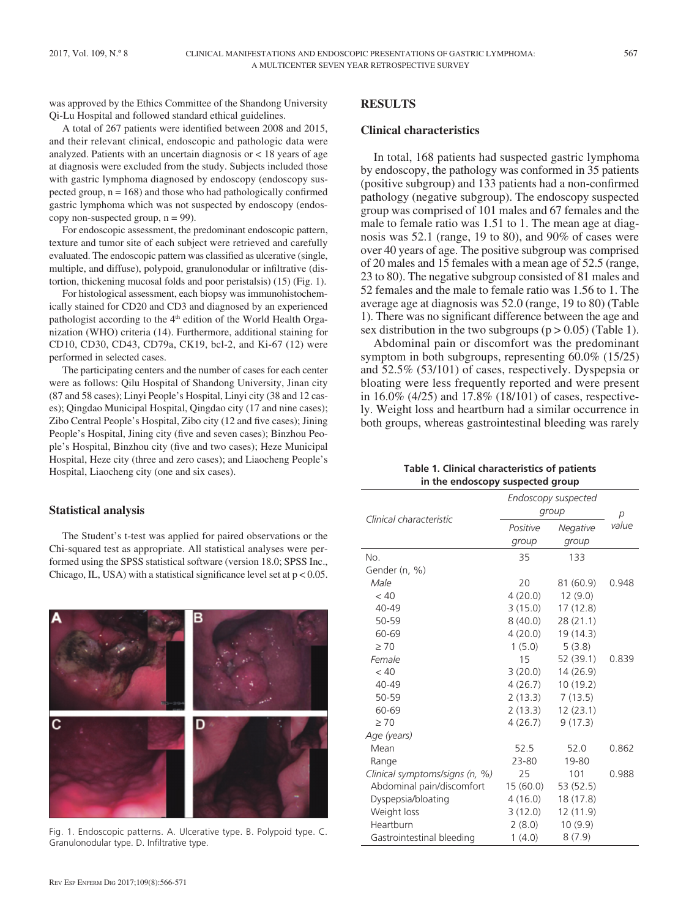was approved by the Ethics Committee of the Shandong University Qi-Lu Hospital and followed standard ethical guidelines.

A total of 267 patients were identified between 2008 and 2015, and their relevant clinical, endoscopic and pathologic data were analyzed. Patients with an uncertain diagnosis or < 18 years of age at diagnosis were excluded from the study. Subjects included those with gastric lymphoma diagnosed by endoscopy (endoscopy suspected group,  $n = 168$ ) and those who had pathologically confirmed gastric lymphoma which was not suspected by endoscopy (endoscopy non-suspected group,  $n = 99$ ).

For endoscopic assessment, the predominant endoscopic pattern, texture and tumor site of each subject were retrieved and carefully evaluated. The endoscopic pattern was classified as ulcerative (single, multiple, and diffuse), polypoid, granulonodular or infiltrative (distortion, thickening mucosal folds and poor peristalsis) (15) (Fig. 1).

For histological assessment, each biopsy was immunohistochemically stained for CD20 and CD3 and diagnosed by an experienced pathologist according to the 4<sup>th</sup> edition of the World Health Organization (WHO) criteria (14). Furthermore, additional staining for CD10, CD30, CD43, CD79a, CK19, bcl-2, and Ki-67 (12) were performed in selected cases.

The participating centers and the number of cases for each center were as follows: Qilu Hospital of Shandong University, Jinan city (87 and 58 cases); Linyi People's Hospital, Linyi city (38 and 12 cases); Qingdao Municipal Hospital, Qingdao city (17 and nine cases); Zibo Central People's Hospital, Zibo city (12 and five cases); Jining People's Hospital, Jining city (five and seven cases); Binzhou People's Hospital, Binzhou city (five and two cases); Heze Municipal Hospital, Heze city (three and zero cases); and Liaocheng People's Hospital, Liaocheng city (one and six cases).

#### **Statistical analysis**

The Student's t-test was applied for paired observations or the Chi-squared test as appropriate. All statistical analyses were performed using the SPSS statistical software (version 18.0; SPSS Inc., Chicago, IL, USA) with a statistical significance level set at  $p < 0.05$ .



Fig. 1. Endoscopic patterns. A. Ulcerative type. B. Polypoid type. C. Granulonodular type. D. Infiltrative type.

## **RESULTS**

#### **Clinical characteristics**

In total, 168 patients had suspected gastric lymphoma by endoscopy, the pathology was conformed in 35 patients (positive subgroup) and 133 patients had a non-confirmed pathology (negative subgroup). The endoscopy suspected group was comprised of 101 males and 67 females and the male to female ratio was 1.51 to 1. The mean age at diagnosis was 52.1 (range, 19 to 80), and 90% of cases were over 40 years of age. The positive subgroup was comprised of 20 males and 15 females with a mean age of 52.5 (range, 23 to 80). The negative subgroup consisted of 81 males and 52 females and the male to female ratio was 1.56 to 1. The average age at diagnosis was 52.0 (range, 19 to 80) (Table 1). There was no significant difference between the age and sex distribution in the two subgroups  $(p > 0.05)$  (Table 1).

Abdominal pain or discomfort was the predominant symptom in both subgroups, representing 60.0% (15/25) and 52.5% (53/101) of cases, respectively. Dyspepsia or bloating were less frequently reported and were present in 16.0% (4/25) and 17.8% (18/101) of cases, respectively. Weight loss and heartburn had a similar occurrence in both groups, whereas gastrointestinal bleeding was rarely

| Table 1. Clinical characteristics of patients |
|-----------------------------------------------|
| in the endoscopy suspected group              |

|                                | Endoscopy suspected<br>group |           | р     |
|--------------------------------|------------------------------|-----------|-------|
| Clinical characteristic        | Positive                     | Negative  | value |
|                                | group                        | group     |       |
| No.                            | 35                           | 133       |       |
| Gender (n, %)                  |                              |           |       |
| Male                           | 20                           | 81 (60.9) | 0.948 |
| < 40                           | 4(20.0)                      | 12(9.0)   |       |
| $40 - 49$                      | 3(15.0)                      | 17(12.8)  |       |
| 50-59                          | 8(40.0)                      | 28(21.1)  |       |
| 60-69                          | 4(20.0)                      | 19 (14.3) |       |
| $\geq 70$                      | 1(5.0)                       | 5(3.8)    |       |
| Female                         | 15                           | 52 (39.1) | 0.839 |
| < 40                           | 3(20.0)                      | 14 (26.9) |       |
| $40 - 49$                      | 4(26.7)                      | 10(19.2)  |       |
| 50-59                          | 2(13.3)                      | 7(13.5)   |       |
| 60-69                          | 2(13.3)                      | 12(23.1)  |       |
| $\geq 70$                      | 4(26.7)                      | 9(17.3)   |       |
| Age (years)                    |                              |           |       |
| Mean                           | 52.5                         | 52.0      | 0.862 |
| Range                          | 23-80                        | 19-80     |       |
| Clinical symptoms/signs (n, %) | 25                           | 101       | 0.988 |
| Abdominal pain/discomfort      | 15 (60.0)                    | 53 (52.5) |       |
| Dyspepsia/bloating             | 4(16.0)                      | 18 (17.8) |       |
| Weight loss                    | 3(12.0)                      | 12 (11.9) |       |
| Heartburn                      | 2(8.0)                       | 10(9.9)   |       |
| Gastrointestinal bleeding      | 1(4.0)                       | 8(7.9)    |       |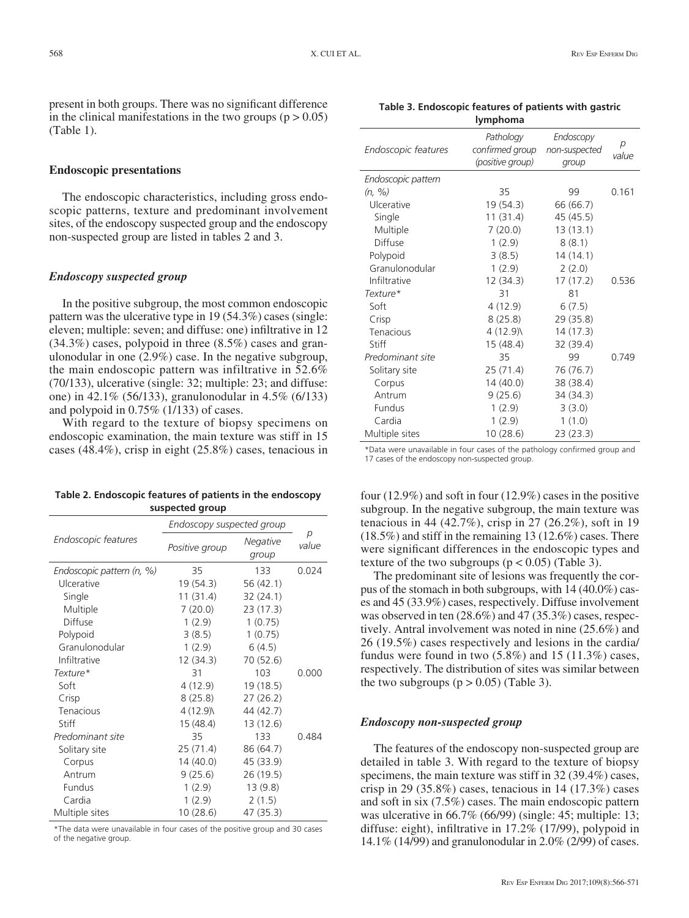present in both groups. There was no significant difference in the clinical manifestations in the two groups  $(p > 0.05)$ (Table 1).

#### **Endoscopic presentations**

The endoscopic characteristics, including gross endoscopic patterns, texture and predominant involvement sites, of the endoscopy suspected group and the endoscopy non-suspected group are listed in tables 2 and 3.

#### *Endoscopy suspected group*

In the positive subgroup, the most common endoscopic pattern was the ulcerative type in 19 (54.3%) cases (single: eleven; multiple: seven; and diffuse: one) infiltrative in 12 (34.3%) cases, polypoid in three (8.5%) cases and granulonodular in one (2.9%) case. In the negative subgroup, the main endoscopic pattern was infiltrative in 52.6% (70/133), ulcerative (single: 32; multiple: 23; and diffuse: one) in 42.1% (56/133), granulonodular in 4.5% (6/133) and polypoid in 0.75% (1/133) of cases.

With regard to the texture of biopsy specimens on endoscopic examination, the main texture was stiff in 15 cases (48.4%), crisp in eight (25.8%) cases, tenacious in

| Table 2. Endoscopic features of patients in the endoscopy |
|-----------------------------------------------------------|
| suspected group                                           |

| Endoscopy suspected group |                |                   |            |
|---------------------------|----------------|-------------------|------------|
| Endoscopic features       | Positive group | Negative<br>group | р<br>value |
| Endoscopic pattern (n, %) | 35             | 133               | 0.024      |
| Ulcerative                | 19 (54.3)      | 56 (42.1)         |            |
| Single                    | 11 (31.4)      | 32(24.1)          |            |
| Multiple                  | 7(20.0)        | 23(17.3)          |            |
| Diffuse                   | 1(2.9)         | 1(0.75)           |            |
| Polypoid                  | 3(8.5)         | 1(0.75)           |            |
| Granulonodular            | 1(2.9)         | 6(4.5)            |            |
| Infiltrative              | 12 (34.3)      | 70 (52.6)         |            |
| Texture*                  | 31             | 103               | 0.000      |
| Soft                      | 4 (12.9)       | 19 (18.5)         |            |
| Crisp                     | 8(25.8)        | 27(26.2)          |            |
| Tenacious                 | 4 (12.9)       | 44 (42.7)         |            |
| Stiff                     | 15 (48.4)      | 13(12.6)          |            |
| Predominant site          | 35             | 133               | 0.484      |
| Solitary site             | 25 (71.4)      | 86 (64.7)         |            |
| Corpus                    | 14(40.0)       | 45 (33.9)         |            |
| Antrum                    | 9(25.6)        | 26 (19.5)         |            |
| Fundus                    | 1(2.9)         | 13(9.8)           |            |
| Cardia                    | 1(2.9)         | 2(1.5)            |            |
| Multiple sites            | 10 (28.6)      | 47 (35.3)         |            |

\*The data were unavailable in four cases of the positive group and 30 cases of the negative group.

**Table 3. Endoscopic features of patients with gastric lymphoma**

| Pathology<br>Endoscopy<br>р<br>confirmed group<br>Endoscopic features<br>non-suspected<br>value<br>(positive group)<br>group<br>Endoscopic pattern<br>35<br>0.161<br>(n, 96)<br>99<br>Ulcerative<br>19 (54.3)<br>66 (66.7)<br>11(31.4)<br>45 (45.5)<br>Single<br>7(20.0)<br>13(13.1)<br>Multiple<br>Diffuse |        |        |       |
|-------------------------------------------------------------------------------------------------------------------------------------------------------------------------------------------------------------------------------------------------------------------------------------------------------------|--------|--------|-------|
|                                                                                                                                                                                                                                                                                                             |        |        |       |
|                                                                                                                                                                                                                                                                                                             |        |        |       |
|                                                                                                                                                                                                                                                                                                             |        |        |       |
|                                                                                                                                                                                                                                                                                                             |        |        |       |
|                                                                                                                                                                                                                                                                                                             |        |        |       |
|                                                                                                                                                                                                                                                                                                             |        |        |       |
|                                                                                                                                                                                                                                                                                                             | 1(2.9) | 8(8.1) |       |
| Polypoid<br>3(8.5)<br>14(14.1)                                                                                                                                                                                                                                                                              |        |        |       |
| Granulonodular<br>1(2.9)<br>2(2.0)                                                                                                                                                                                                                                                                          |        |        |       |
| Infiltrative<br>17 (17.2)<br>12(34.3)                                                                                                                                                                                                                                                                       |        |        | 0.536 |
| Texture*<br>31<br>81                                                                                                                                                                                                                                                                                        |        |        |       |
| 4(12.9)<br>Soft<br>6(7.5)                                                                                                                                                                                                                                                                                   |        |        |       |
| 8(25.8)<br>29 (35.8)<br>Crisp                                                                                                                                                                                                                                                                               |        |        |       |
| Tenacious<br>4 (12.9)<br>14(17.3)                                                                                                                                                                                                                                                                           |        |        |       |
| Stiff<br>15(48.4)<br>32 (39.4)                                                                                                                                                                                                                                                                              |        |        |       |
| Predominant site<br>35<br>99                                                                                                                                                                                                                                                                                |        |        | 0.749 |
| 25(71.4)<br>76 (76.7)<br>Solitary site                                                                                                                                                                                                                                                                      |        |        |       |
| 14(40.0)<br>38 (38.4)<br>Corpus                                                                                                                                                                                                                                                                             |        |        |       |
| 9(25.6)<br>34 (34.3)<br>Antrum                                                                                                                                                                                                                                                                              |        |        |       |
| Fundus<br>1(2.9)<br>3(3.0)                                                                                                                                                                                                                                                                                  |        |        |       |
| Cardia<br>1(2.9)<br>1(1.0)                                                                                                                                                                                                                                                                                  |        |        |       |
| Multiple sites<br>10 (28.6)<br>23 (23.3)                                                                                                                                                                                                                                                                    |        |        |       |

\*Data were unavailable in four cases of the pathology confirmed group and 17 cases of the endoscopy non-suspected group.

four (12.9%) and soft in four (12.9%) cases in the positive subgroup. In the negative subgroup, the main texture was tenacious in 44 (42.7%), crisp in 27 (26.2%), soft in 19 (18.5%) and stiff in the remaining 13 (12.6%) cases. There were significant differences in the endoscopic types and texture of the two subgroups ( $p < 0.05$ ) (Table 3).

The predominant site of lesions was frequently the corpus of the stomach in both subgroups, with 14 (40.0%) cases and 45 (33.9%) cases, respectively. Diffuse involvement was observed in ten (28.6%) and 47 (35.3%) cases, respectively. Antral involvement was noted in nine (25.6%) and 26 (19.5%) cases respectively and lesions in the cardia/ fundus were found in two (5.8%) and 15 (11.3%) cases, respectively. The distribution of sites was similar between the two subgroups  $(p > 0.05)$  (Table 3).

#### *Endoscopy non-suspected group*

The features of the endoscopy non-suspected group are detailed in table 3. With regard to the texture of biopsy specimens, the main texture was stiff in 32 (39.4%) cases, crisp in 29 (35.8%) cases, tenacious in  $14$  (17.3%) cases and soft in six (7.5%) cases. The main endoscopic pattern was ulcerative in 66.7% (66/99) (single: 45; multiple: 13; diffuse: eight), infiltrative in 17.2% (17/99), polypoid in 14.1% (14/99) and granulonodular in 2.0% (2/99) of cases.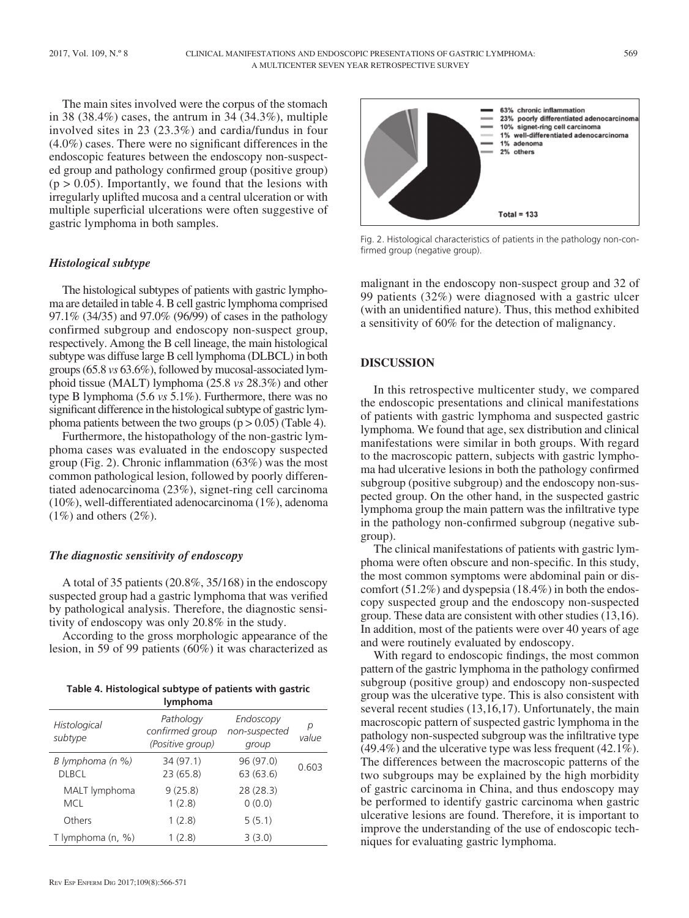The main sites involved were the corpus of the stomach in 38 (38.4%) cases, the antrum in 34 (34.3%), multiple involved sites in 23 (23.3%) and cardia/fundus in four (4.0%) cases. There were no significant differences in the endoscopic features between the endoscopy non-suspected group and pathology confirmed group (positive group)  $(p > 0.05)$ . Importantly, we found that the lesions with irregularly uplifted mucosa and a central ulceration or with multiple superficial ulcerations were often suggestive of gastric lymphoma in both samples.

#### *Histological subtype*

The histological subtypes of patients with gastric lymphoma are detailed in table 4. B cell gastric lymphoma comprised 97.1% (34/35) and 97.0% (96/99) of cases in the pathology confirmed subgroup and endoscopy non-suspect group, respectively. Among the B cell lineage, the main histological subtype was diffuse large B cell lymphoma (DLBCL) in both groups (65.8 *vs* 63.6%), followed by mucosal-associated lymphoid tissue (MALT) lymphoma (25.8 *vs* 28.3%) and other type B lymphoma (5.6 *vs* 5.1%). Furthermore, there was no significant difference in the histological subtype of gastric lymphoma patients between the two groups  $(p > 0.05)$  (Table 4).

Furthermore, the histopathology of the non-gastric lymphoma cases was evaluated in the endoscopy suspected group (Fig. 2). Chronic inflammation (63%) was the most common pathological lesion, followed by poorly differentiated adenocarcinoma (23%), signet-ring cell carcinoma (10%), well-differentiated adenocarcinoma (1%), adenoma  $(1\%)$  and others  $(2\%)$ .

## *The diagnostic sensitivity of endoscopy*

A total of 35 patients (20.8%, 35/168) in the endoscopy suspected group had a gastric lymphoma that was verified by pathological analysis. Therefore, the diagnostic sensitivity of endoscopy was only 20.8% in the study.

According to the gross morphologic appearance of the lesion, in 59 of 99 patients (60%) it was characterized as

| Table 4. Histological subtype of patients with gastric |
|--------------------------------------------------------|
| <b>lymphoma</b>                                        |

|                                  | ,,,,,,,,,,,,,,,                                  |                                     |            |
|----------------------------------|--------------------------------------------------|-------------------------------------|------------|
| Histological<br>subtype          | Pathology<br>confirmed group<br>(Positive group) | Endoscopy<br>non-suspected<br>group | р<br>value |
| B lymphoma (n %)<br><b>DLBCL</b> | 34 (97.1)<br>23 (65.8)                           | 96 (97.0)<br>63(63.6)               | 0.603      |
| MALT lymphoma<br><b>MCL</b>      | 9(25.8)<br>1(2.8)                                | 28 (28.3)<br>0(0.0)                 |            |
| Others                           | 1(2.8)                                           | 5(5.1)                              |            |
| T lymphoma (n, %)                | 1(2.8)                                           | 3(3.0)                              |            |



Fig. 2. Histological characteristics of patients in the pathology non-confirmed group (negative group).

malignant in the endoscopy non-suspect group and 32 of 99 patients (32%) were diagnosed with a gastric ulcer (with an unidentified nature). Thus, this method exhibited a sensitivity of 60% for the detection of malignancy.

## **DISCUSSION**

In this retrospective multicenter study, we compared the endoscopic presentations and clinical manifestations of patients with gastric lymphoma and suspected gastric lymphoma. We found that age, sex distribution and clinical manifestations were similar in both groups. With regard to the macroscopic pattern, subjects with gastric lymphoma had ulcerative lesions in both the pathology confirmed subgroup (positive subgroup) and the endoscopy non-suspected group. On the other hand, in the suspected gastric lymphoma group the main pattern was the infiltrative type in the pathology non-confirmed subgroup (negative subgroup).

The clinical manifestations of patients with gastric lymphoma were often obscure and non-specific. In this study, the most common symptoms were abdominal pain or discomfort (51.2%) and dyspepsia (18.4%) in both the endoscopy suspected group and the endoscopy non-suspected group. These data are consistent with other studies (13,16). In addition, most of the patients were over 40 years of age and were routinely evaluated by endoscopy.

With regard to endoscopic findings, the most common pattern of the gastric lymphoma in the pathology confirmed subgroup (positive group) and endoscopy non-suspected group was the ulcerative type. This is also consistent with several recent studies (13,16,17). Unfortunately, the main macroscopic pattern of suspected gastric lymphoma in the pathology non-suspected subgroup was the infiltrative type (49.4%) and the ulcerative type was less frequent (42.1%). The differences between the macroscopic patterns of the two subgroups may be explained by the high morbidity of gastric carcinoma in China, and thus endoscopy may be performed to identify gastric carcinoma when gastric ulcerative lesions are found. Therefore, it is important to improve the understanding of the use of endoscopic techniques for evaluating gastric lymphoma.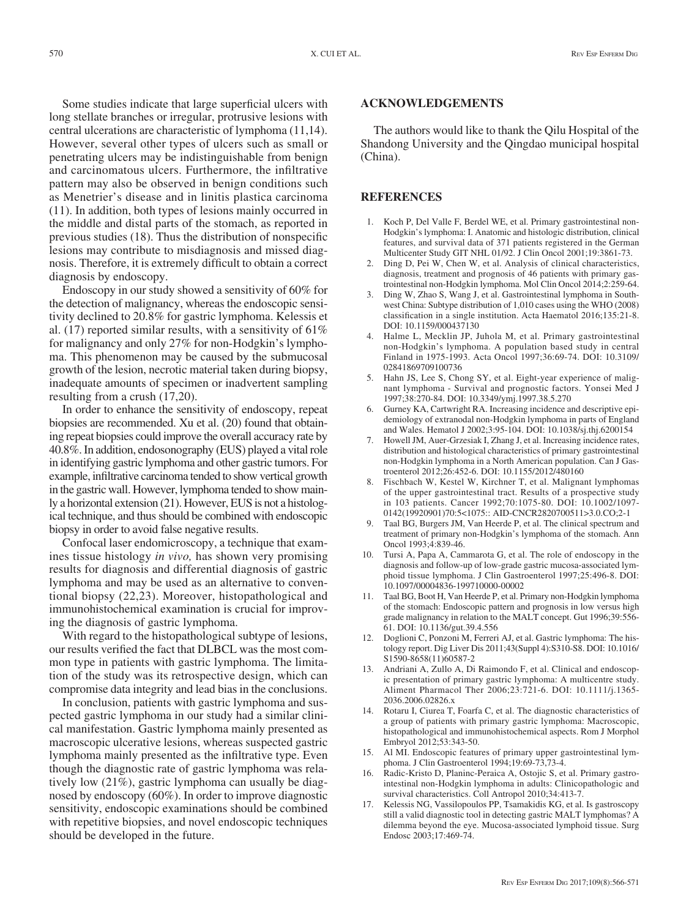Some studies indicate that large superficial ulcers with long stellate branches or irregular, protrusive lesions with central ulcerations are characteristic of lymphoma (11,14). However, several other types of ulcers such as small or penetrating ulcers may be indistinguishable from benign and carcinomatous ulcers. Furthermore, the infiltrative pattern may also be observed in benign conditions such as Menetrier's disease and in linitis plastica carcinoma (11). In addition, both types of lesions mainly occurred in the middle and distal parts of the stomach, as reported in previous studies (18). Thus the distribution of nonspecific lesions may contribute to misdiagnosis and missed diagnosis. Therefore, it is extremely difficult to obtain a correct diagnosis by endoscopy.

Endoscopy in our study showed a sensitivity of 60% for the detection of malignancy, whereas the endoscopic sensitivity declined to 20.8% for gastric lymphoma. Kelessis et al. (17) reported similar results, with a sensitivity of 61% for malignancy and only 27% for non-Hodgkin's lymphoma. This phenomenon may be caused by the submucosal growth of the lesion, necrotic material taken during biopsy, inadequate amounts of specimen or inadvertent sampling resulting from a crush (17,20).

In order to enhance the sensitivity of endoscopy, repeat biopsies are recommended. Xu et al. (20) found that obtaining repeat biopsies could improve the overall accuracy rate by 40.8%. In addition, endosonography (EUS) played a vital role in identifying gastric lymphoma and other gastric tumors. For example, infiltrative carcinoma tended to show vertical growth in the gastric wall. However, lymphoma tended to show mainly a horizontal extension (21). However, EUS is not a histological technique, and thus should be combined with endoscopic biopsy in order to avoid false negative results.

Confocal laser endomicroscopy, a technique that examines tissue histology *in vivo,* has shown very promising results for diagnosis and differential diagnosis of gastric lymphoma and may be used as an alternative to conventional biopsy (22,23). Moreover, histopathological and immunohistochemical examination is crucial for improving the diagnosis of gastric lymphoma.

With regard to the histopathological subtype of lesions, our results verified the fact that DLBCL was the most common type in patients with gastric lymphoma. The limitation of the study was its retrospective design, which can compromise data integrity and lead bias in the conclusions.

In conclusion, patients with gastric lymphoma and suspected gastric lymphoma in our study had a similar clinical manifestation. Gastric lymphoma mainly presented as macroscopic ulcerative lesions, whereas suspected gastric lymphoma mainly presented as the infiltrative type. Even though the diagnostic rate of gastric lymphoma was relatively low (21%), gastric lymphoma can usually be diagnosed by endoscopy (60%). In order to improve diagnostic sensitivity, endoscopic examinations should be combined with repetitive biopsies, and novel endoscopic techniques should be developed in the future.

#### **ACKNOWLEDGEMENTS**

The authors would like to thank the Qilu Hospital of the Shandong University and the Qingdao municipal hospital (China).

#### **REFERENCES**

- 1. Koch P, Del Valle F, Berdel WE, et al. Primary gastrointestinal non-Hodgkin's lymphoma: I. Anatomic and histologic distribution, clinical features, and survival data of 371 patients registered in the German Multicenter Study GIT NHL 01/92. J Clin Oncol 2001;19:3861-73.
- 2. Ding D, Pei W, Chen W, et al. Analysis of clinical characteristics, diagnosis, treatment and prognosis of 46 patients with primary gastrointestinal non-Hodgkin lymphoma. Mol Clin Oncol 2014;2:259-64.
- 3. Ding W, Zhao S, Wang J, et al. Gastrointestinal lymphoma in Southwest China: Subtype distribution of 1,010 cases using the WHO (2008) classification in a single institution. Acta Haematol 2016;135:21-8. DOI: 10.1159/000437130
- 4. Halme L, Mecklin JP, Juhola M, et al. Primary gastrointestinal non-Hodgkin's lymphoma. A population based study in central Finland in 1975-1993. Acta Oncol 1997;36:69-74. DOI: 10.3109/ 02841869709100736
- 5. Hahn JS, Lee S, Chong SY, et al. Eight-year experience of malignant lymphoma - Survival and prognostic factors. Yonsei Med J 1997;38:270-84. DOI: 10.3349/ymj.1997.38.5.270
- 6. Gurney KA, Cartwright RA. Increasing incidence and descriptive epidemiology of extranodal non-Hodgkin lymphoma in parts of England and Wales. Hematol J 2002;3:95-104. DOI: 10.1038/sj.thj.6200154
- 7. Howell JM, Auer-Grzesiak I, Zhang J, et al. Increasing incidence rates, distribution and histological characteristics of primary gastrointestinal non-Hodgkin lymphoma in a North American population. Can J Gastroenterol 2012;26:452-6. DOI: 10.1155/2012/480160
- 8. Fischbach W, Kestel W, Kirchner T, et al. Malignant lymphomas of the upper gastrointestinal tract. Results of a prospective study in 103 patients. Cancer 1992;70:1075-80. DOI: 10.1002/1097- 0142(19920901)70:5<1075:: AID-CNCR2820700511>3.0.CO;2-1
- 9. Taal BG, Burgers JM, Van Heerde P, et al. The clinical spectrum and treatment of primary non-Hodgkin's lymphoma of the stomach. Ann Oncol 1993;4:839-46.
- 10. Tursi A, Papa A, Cammarota G, et al. The role of endoscopy in the diagnosis and follow-up of low-grade gastric mucosa-associated lymphoid tissue lymphoma. J Clin Gastroenterol 1997;25:496-8. DOI: 10.1097/00004836-199710000-00002
- 11. Taal BG, Boot H, Van Heerde P, et al. Primary non-Hodgkin lymphoma of the stomach: Endoscopic pattern and prognosis in low versus high grade malignancy in relation to the MALT concept. Gut 1996;39:556- 61. DOI: 10.1136/gut.39.4.556
- 12. Doglioni C, Ponzoni M, Ferreri AJ, et al. Gastric lymphoma: The histology report. Dig Liver Dis 2011;43(Suppl 4):S310-S8. DOI: 10.1016/ S1590-8658(11)60587-2
- 13. Andriani A, Zullo A, Di Raimondo F, et al. Clinical and endoscopic presentation of primary gastric lymphoma: A multicentre study. Aliment Pharmacol Ther 2006;23:721-6. DOI: 10.1111/j.1365- 2036.2006.02826.x
- 14. Rotaru I, Ciurea T, Foarfa C, et al. The diagnostic characteristics of a group of patients with primary gastric lymphoma: Macroscopic, histopathological and immunohistochemical aspects. Rom J Morphol Embryol 2012;53:343-50.
- 15. Al MI. Endoscopic features of primary upper gastrointestinal lymphoma. J Clin Gastroenterol 1994;19:69-73,73-4.
- 16. Radic-Kristo D, Planinc-Peraica A, Ostojic S, et al. Primary gastrointestinal non-Hodgkin lymphoma in adults: Clinicopathologic and survival characteristics. Coll Antropol 2010;34:413-7.
- 17. Kelessis NG, Vassilopoulos PP, Tsamakidis KG, et al. Is gastroscopy still a valid diagnostic tool in detecting gastric MALT lymphomas? A dilemma beyond the eye. Mucosa-associated lymphoid tissue. Surg Endosc 2003;17:469-74.